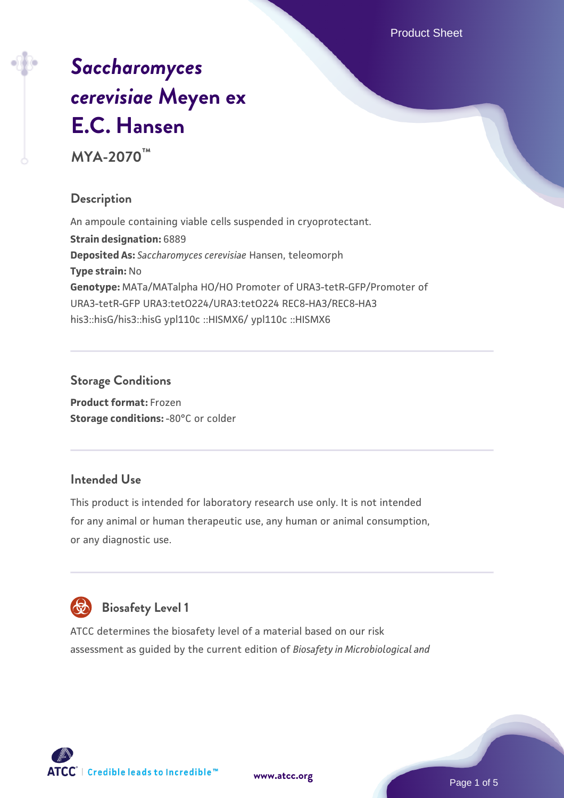Product Sheet

# *[Saccharomyces](https://www.atcc.org/products/mya-2070) [cerevisiae](https://www.atcc.org/products/mya-2070)* **[Meyen ex](https://www.atcc.org/products/mya-2070) [E.C. Hansen](https://www.atcc.org/products/mya-2070)**

**MYA-2070™**

# **Description**

An ampoule containing viable cells suspended in cryoprotectant. **Strain designation:** 6889 **Deposited As:** *Saccharomyces cerevisiae* Hansen, teleomorph **Type strain:** No **Genotype:** MATa/MATalpha HO/HO Promoter of URA3-tetR-GFP/Promoter of URA3-tetR-GFP URA3:tetO224/URA3:tetO224 REC8-HA3/REC8-HA3 his3::hisG/his3::hisG ypl110c ::HISMX6/ ypl110c ::HISMX6

# **Storage Conditions**

**Product format:** Frozen **Storage conditions: -80°C or colder** 

# **Intended Use**

This product is intended for laboratory research use only. It is not intended for any animal or human therapeutic use, any human or animal consumption, or any diagnostic use.



# **Biosafety Level 1**

ATCC determines the biosafety level of a material based on our risk assessment as guided by the current edition of *Biosafety in Microbiological and*

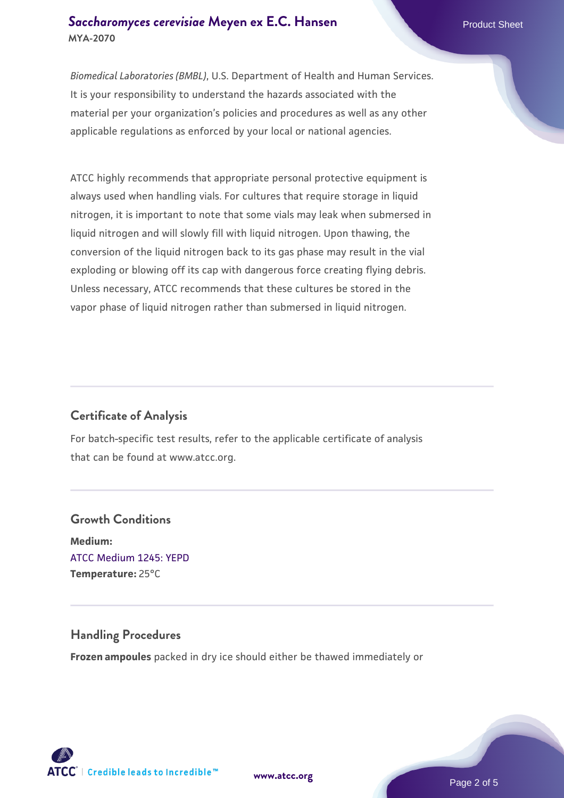#### **[Saccharomyces cerevisiae](https://www.atcc.org/products/mya-2070)** [Meyen ex E.C. Hansen](https://www.atcc.org/products/mya-2070) **MYA-2070**

*Biomedical Laboratories (BMBL)*, U.S. Department of Health and Human Services. It is your responsibility to understand the hazards associated with the material per your organization's policies and procedures as well as any other applicable regulations as enforced by your local or national agencies.

ATCC highly recommends that appropriate personal protective equipment is always used when handling vials. For cultures that require storage in liquid nitrogen, it is important to note that some vials may leak when submersed in liquid nitrogen and will slowly fill with liquid nitrogen. Upon thawing, the conversion of the liquid nitrogen back to its gas phase may result in the vial exploding or blowing off its cap with dangerous force creating flying debris. Unless necessary, ATCC recommends that these cultures be stored in the vapor phase of liquid nitrogen rather than submersed in liquid nitrogen.

# **Certificate of Analysis**

For batch-specific test results, refer to the applicable certificate of analysis that can be found at www.atcc.org.

# **Growth Conditions Medium:**  [ATCC Medium 1245: YEPD](https://www.atcc.org/-/media/product-assets/documents/microbial-media-formulations/1/2/4/5/atcc-medium-1245.pdf?rev=705ca55d1b6f490a808a965d5c072196) **Temperature:** 25°C

#### **Handling Procedures**

**Frozen ampoules** packed in dry ice should either be thawed immediately or



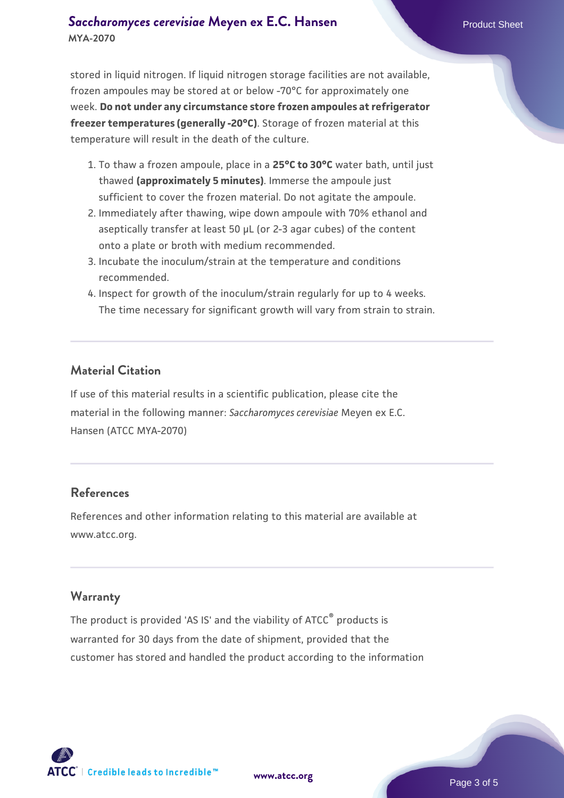#### **[Saccharomyces cerevisiae](https://www.atcc.org/products/mya-2070)** [Meyen ex E.C. Hansen](https://www.atcc.org/products/mya-2070) **MYA-2070**

stored in liquid nitrogen. If liquid nitrogen storage facilities are not available, frozen ampoules may be stored at or below -70°C for approximately one week. **Do not under any circumstance store frozen ampoules at refrigerator freezer temperatures (generally -20°C)**. Storage of frozen material at this temperature will result in the death of the culture.

- 1. To thaw a frozen ampoule, place in a **25°C to 30°C** water bath, until just thawed **(approximately 5 minutes)**. Immerse the ampoule just sufficient to cover the frozen material. Do not agitate the ampoule.
- 2. Immediately after thawing, wipe down ampoule with 70% ethanol and aseptically transfer at least 50 µL (or 2-3 agar cubes) of the content onto a plate or broth with medium recommended.
- 3. Incubate the inoculum/strain at the temperature and conditions recommended.
- 4. Inspect for growth of the inoculum/strain regularly for up to 4 weeks. The time necessary for significant growth will vary from strain to strain.

#### **Material Citation**

If use of this material results in a scientific publication, please cite the material in the following manner: *Saccharomyces cerevisiae* Meyen ex E.C. Hansen (ATCC MYA-2070)

#### **References**

References and other information relating to this material are available at www.atcc.org.

#### **Warranty**

The product is provided 'AS IS' and the viability of ATCC® products is warranted for 30 days from the date of shipment, provided that the customer has stored and handled the product according to the information

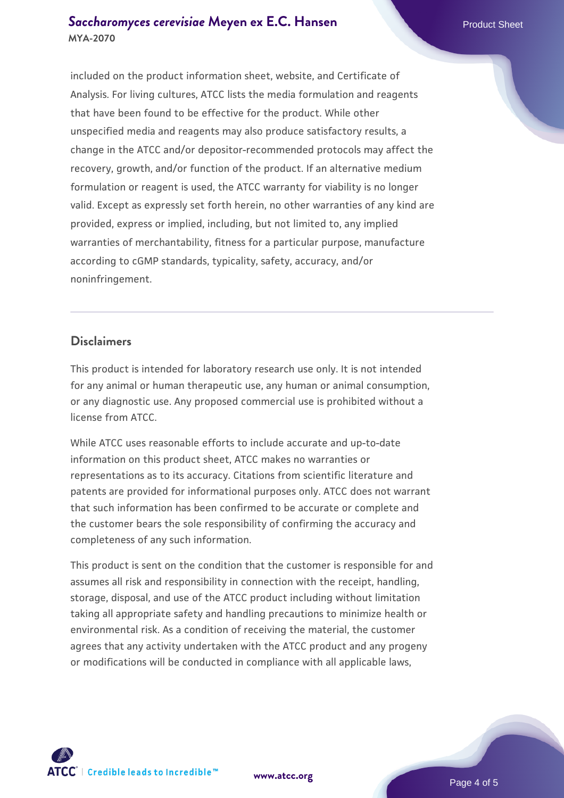#### **[Saccharomyces cerevisiae](https://www.atcc.org/products/mya-2070)** [Meyen ex E.C. Hansen](https://www.atcc.org/products/mya-2070) **MYA-2070**

included on the product information sheet, website, and Certificate of Analysis. For living cultures, ATCC lists the media formulation and reagents that have been found to be effective for the product. While other unspecified media and reagents may also produce satisfactory results, a change in the ATCC and/or depositor-recommended protocols may affect the recovery, growth, and/or function of the product. If an alternative medium formulation or reagent is used, the ATCC warranty for viability is no longer valid. Except as expressly set forth herein, no other warranties of any kind are provided, express or implied, including, but not limited to, any implied warranties of merchantability, fitness for a particular purpose, manufacture according to cGMP standards, typicality, safety, accuracy, and/or noninfringement.

#### **Disclaimers**

This product is intended for laboratory research use only. It is not intended for any animal or human therapeutic use, any human or animal consumption, or any diagnostic use. Any proposed commercial use is prohibited without a license from ATCC.

While ATCC uses reasonable efforts to include accurate and up-to-date information on this product sheet, ATCC makes no warranties or representations as to its accuracy. Citations from scientific literature and patents are provided for informational purposes only. ATCC does not warrant that such information has been confirmed to be accurate or complete and the customer bears the sole responsibility of confirming the accuracy and completeness of any such information.

This product is sent on the condition that the customer is responsible for and assumes all risk and responsibility in connection with the receipt, handling, storage, disposal, and use of the ATCC product including without limitation taking all appropriate safety and handling precautions to minimize health or environmental risk. As a condition of receiving the material, the customer agrees that any activity undertaken with the ATCC product and any progeny or modifications will be conducted in compliance with all applicable laws,

**[www.atcc.org](http://www.atcc.org)**

Page 4 of 5